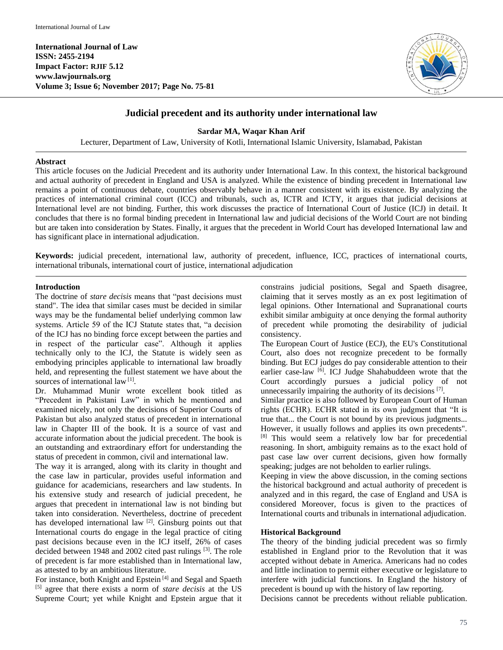**International Journal of Law ISSN: 2455-2194 Impact Factor: RJIF 5.12 www.lawjournals.org Volume 3; Issue 6; November 2017; Page No. 75-81**



# **Judicial precedent and its authority under international law**

**Sardar MA, Waqar Khan Arif**

Lecturer, Department of Law, University of Kotli, International Islamic University, Islamabad, Pakistan

#### **Abstract**

This article focuses on the Judicial Precedent and its authority under International Law. In this context, the historical background and actual authority of precedent in England and USA is analyzed. While the existence of binding precedent in International law remains a point of continuous debate, countries observably behave in a manner consistent with its existence. By analyzing the practices of international criminal court (ICC) and tribunals, such as, ICTR and ICTY, it argues that judicial decisions at International level are not binding. Further, this work discusses the practice of International Court of Justice (ICJ) in detail. It concludes that there is no formal binding precedent in International law and judicial decisions of the World Court are not binding but are taken into consideration by States. Finally, it argues that the precedent in World Court has developed International law and has significant place in international adjudication.

**Keywords:** judicial precedent, international law, authority of precedent, influence, ICC, practices of international courts, international tribunals, international court of justice, international adjudication

#### **Introduction**

The doctrine of *stare decisis* means that "past decisions must stand". The idea that similar cases must be decided in similar ways may be the fundamental belief underlying common law systems. Article 59 of the ICJ Statute states that, "a decision of the ICJ has no binding force except between the parties and in respect of the particular case". Although it applies technically only to the ICJ, the Statute is widely seen as embodying principles applicable to international law broadly held, and representing the fullest statement we have about the sources of international law<sup>[1]</sup>.

Dr. Muhammad Munir wrote excellent book titled as "Precedent in Pakistani Law" in which he mentioned and examined nicely, not only the decisions of Superior Courts of Pakistan but also analyzed status of precedent in international law in Chapter III of the book. It is a source of vast and accurate information about the judicial precedent. The book is an outstanding and extraordinary effort for understanding the status of precedent in common, civil and international law.

The way it is arranged, along with its clarity in thought and the case law in particular, provides useful information and guidance for academicians, researchers and law students. In his extensive study and research of judicial precedent, he argues that precedent in international law is not binding but taken into consideration. Nevertheless, doctrine of precedent has developed international law<sup>[2]</sup>. Ginsburg points out that International courts do engage in the legal practice of citing past decisions because even in the ICJ itself, 26% of cases decided between 1948 and 2002 cited past rulings<sup>[3]</sup>. The role of precedent is far more established than in International law, as attested to by an ambitious literature.

For instance, both Knight and Epstein<sup>[4]</sup> and Segal and Spaeth [5] agree that there exists a norm of *stare decisis* at the US Supreme Court; yet while Knight and Epstein argue that it constrains judicial positions, Segal and Spaeth disagree, claiming that it serves mostly as an ex post legitimation of legal opinions. Other International and Supranational courts exhibit similar ambiguity at once denying the formal authority of precedent while promoting the desirability of judicial consistency.

The European Court of Justice (ECJ), the EU's Constitutional Court, also does not recognize precedent to be formally binding. But ECJ judges do pay considerable attention to their earlier case-law <a>[6]</a>. ICJ Judge Shahabuddeen wrote that the Court accordingly pursues a judicial policy of not unnecessarily impairing the authority of its decisions  $[7]$ .

Similar practice is also followed by European Court of Human rights (ECHR). ECHR stated in its own judgment that "It is true that... the Court is not bound by its previous judgments... However, it usually follows and applies its own precedents". [8] This would seem a relatively low bar for precedential reasoning. In short, ambiguity remains as to the exact hold of past case law over current decisions, given how formally speaking; judges are not beholden to earlier rulings.

Keeping in view the above discussion, in the coming sections the historical background and actual authority of precedent is analyzed and in this regard, the case of England and USA is considered Moreover, focus is given to the practices of International courts and tribunals in international adjudication.

#### **Historical Background**

The theory of the binding judicial precedent was so firmly established in England prior to the Revolution that it was accepted without debate in America. Americans had no codes and little inclination to permit either executive or legislature to interfere with judicial functions. In England the history of precedent is bound up with the history of law reporting.

Decisions cannot be precedents without reliable publication.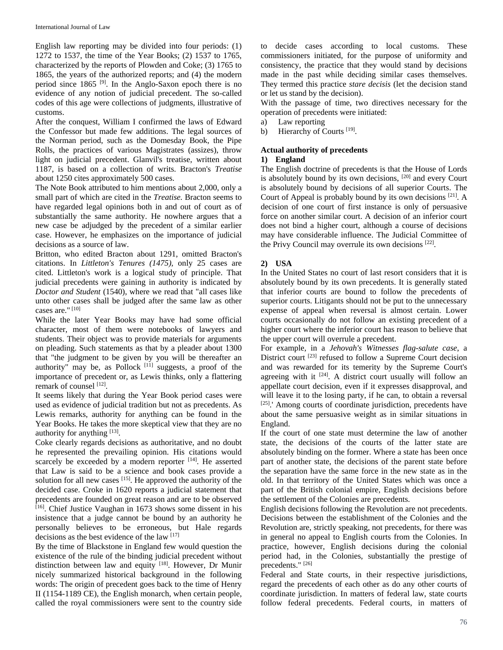English law reporting may be divided into four periods: (1) 1272 to 1537, the time of the Year Books; (2) 1537 to 1765, characterized by the reports of Plowden and Coke; (3) 1765 to 1865, the years of the authorized reports; and (4) the modern period since  $1865$ <sup>[9]</sup>. In the Anglo-Saxon epoch there is no evidence of any notion of judicial precedent. The so-called codes of this age were collections of judgments, illustrative of customs.

After the conquest, William I confirmed the laws of Edward the Confessor but made few additions. The legal sources of the Norman period, such as the Domesday Book, the Pipe Rolls, the practices of various Magistrates (assizes), throw light on judicial precedent. Glanvil's treatise, written about 1187, is based on a collection of writs. Bracton's *Treatise*  about 1250 cites approximately 500 cases.

The Note Book attributed to him mentions about 2,000, only a small part of which are cited in the *Treatise.* Bracton seems to have regarded legal opinions both in and out of court as of substantially the same authority. He nowhere argues that a new case be adjudged by the precedent of a similar earlier case. However, he emphasizes on the importance of judicial decisions as a source of law.

Britton, who edited Bracton about 1291, omitted Bracton's citations. In *Littleton's Tenures (1475),* only 25 cases are cited. Littleton's work is a logical study of principle. That judicial precedents were gaining in authority is indicated by *Doctor and Student* (1540), where we read that "all cases like unto other cases shall be judged after the same law as other cases are." [10]

While the later Year Books may have had some official character, most of them were notebooks of lawyers and students. Their object was to provide materials for arguments on pleading. Such statements as that by a pleader about 1300 that "the judgment to be given by you will be thereafter an authority" may be, as Pollock  $[11]$  suggests, a proof of the importance of precedent or, as Lewis thinks, only a flattering remark of counsel [12].

It seems likely that during the Year Book period cases were used as evidence of judicial tradition but not as precedents. As Lewis remarks, authority for anything can be found in the Year Books. He takes the more skeptical view that they are no authority for anything [13].

Coke clearly regards decisions as authoritative, and no doubt he represented the prevailing opinion. His citations would scarcely be exceeded by a modern reporter  $[14]$ . He asserted that Law is said to be a science and book cases provide a solution for all new cases  $[15]$ . He approved the authority of the decided case. Croke in 1620 reports a judicial statement that precedents are founded on great reason and are to be observed [16]. Chief Justice Vaughan in 1673 shows some dissent in his insistence that a judge cannot be bound by an authority he personally believes to be erroneous, but Hale regards decisions as the best evidence of the law [17]

By the time of Blackstone in England few would question the existence of the rule of the binding judicial precedent without distinction between law and equity <sup>[18]</sup>. However, Dr Munir nicely summarized historical background in the following words: The origin of precedent goes back to the time of Henry II (1154-1189 CE), the English monarch, when certain people, called the royal commissioners were sent to the country side

to decide cases according to local customs. These commissioners initiated, for the purpose of uniformity and consistency, the practice that they would stand by decisions made in the past while deciding similar cases themselves. They termed this practice *stare decisis* (let the decision stand or let us stand by the decision).

With the passage of time, two directives necessary for the operation of precedents were initiated:

- a) Law reporting
- b) Hierarchy of Courts [19].

# **Actual authority of precedents**

### **1) England**

The English doctrine of precedents is that the House of Lords is absolutely bound by its own decisions, <sup>[20]</sup> and every Court is absolutely bound by decisions of all superior Courts. The Court of Appeal is probably bound by its own decisions  $[21]$ . A decision of one court of first instance is only of persuasive force on another similar court. A decision of an inferior court does not bind a higher court, although a course of decisions may have considerable influence. The Judicial Committee of the Privy Council may overrule its own decisions [22].

## **2) USA**

In the United States no court of last resort considers that it is absolutely bound by its own precedents. It is generally stated that inferior courts are bound to follow the precedents of superior courts. Litigants should not be put to the unnecessary expense of appeal when reversal is almost certain. Lower courts occasionally do not follow an existing precedent of a higher court where the inferior court has reason to believe that the upper court will overrule a precedent.

For example, in a *Jehovah's Witnesses flag-salute case*, a District court <sup>[23]</sup> refused to follow a Supreme Court decision and was rewarded for its temerity by the Supreme Court's agreeing with it  $[24]$ . A district court usually will follow an appellate court decision, even if it expresses disapproval, and will leave it to the losing party, if he can, to obtain a reversal [25].' Among courts of coordinate jurisdiction, precedents have about the same persuasive weight as in similar situations in England.

If the court of one state must determine the law of another state, the decisions of the courts of the latter state are absolutely binding on the former. Where a state has been once part of another state, the decisions of the parent state before the separation have the same force in the new state as in the old. In that territory of the United States which was once a part of the British colonial empire, English decisions before the settlement of the Colonies are precedents.

English decisions following the Revolution are not precedents. Decisions between the establishment of the Colonies and the Revolution are, strictly speaking, not precedents, for there was in general no appeal to English courts from the Colonies. In practice, however, English decisions during the colonial period had, in the Colonies, substantially the prestige of precedents."<sup>[26]</sup>

Federal and State courts, in their respective jurisdictions, regard the precedents of each other as do any other courts of coordinate jurisdiction. In matters of federal law, state courts follow federal precedents. Federal courts, in matters of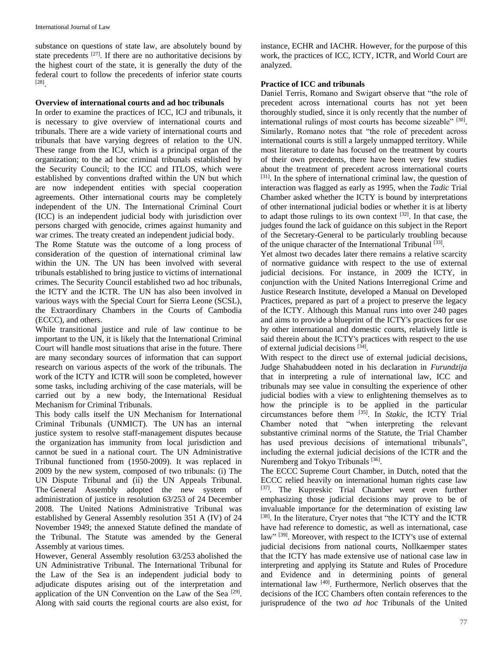substance on questions of state law, are absolutely bound by state precedents  $[27]$ . If there are no authoritative decisions by the highest court of the state, it is generally the duty of the federal court to follow the precedents of inferior state courts [28] .

#### **Overview of international courts and ad hoc tribunals**

In order to examine the practices of ICC, ICJ and tribunals, it is necessary to give overview of international courts and tribunals. There are a wide variety of international courts and tribunals that have varying degrees of relation to the UN. These range from the ICJ, which is a principal organ of the organization; to the ad hoc criminal tribunals established by the Security Council; to the ICC and ITLOS, which were established by conventions drafted within the UN but which are now independent entities with special cooperation agreements. Other international courts may be completely independent of the UN. The International Criminal Court (ICC) is an independent judicial body with jurisdiction over persons charged with genocide, crimes against humanity and war crimes. The treaty created an independent judicial body.

The Rome Statute was the outcome of a long process of consideration of the question of international criminal law within the UN. The UN has been involved with several tribunals established to bring justice to victims of international crimes. The Security Council established two ad hoc tribunals, the ICTY and the ICTR. The UN has also been involved in various ways with the Special Court for Sierra Leone (SCSL), the Extraordinary Chambers in the Courts of Cambodia (ECCC), and others.

While transitional justice and rule of law continue to be important to the UN, it is likely that the International Criminal Court will handle most situations that arise in the future. There are many secondary sources of information that can support research on various aspects of the work of the tribunals. The work of the ICTY and ICTR will soon be completed, however some tasks, including archiving of the case materials, will be carried out by a new body, the International Residual Mechanism for Criminal Tribunals.

This body calls itself the UN Mechanism for International Criminal Tribunals (UNMICT). The UN has an internal justice system to resolve staff-management disputes because the organization has immunity from local jurisdiction and cannot be sued in a national court. The UN Administrative Tribunal functioned from (1950-2009). It was replaced in 2009 by the new system, composed of two tribunals: (i) The UN Dispute Tribunal and (ii) the UN Appeals Tribunal. The General Assembly adopted the new system of administration of justice in resolution 63/253 of 24 December 2008. The United Nations Administrative Tribunal was established by General Assembly resolution 351 A (IV) of 24 November 1949; the annexed Statute defined the mandate of the Tribunal. The Statute was amended by the General Assembly at various times.

However, General Assembly resolution 63/253 abolished the UN Administrative Tribunal. The International Tribunal for the Law of the Sea is an independent judicial body to adjudicate disputes arising out of the interpretation and application of the UN Convention on the Law of the Sea<sup>[29]</sup>. Along with said courts the regional courts are also exist, for instance, ECHR and IACHR. However, for the purpose of this work, the practices of ICC, ICTY, ICTR, and World Court are analyzed.

#### **Practice of ICC and tribunals**

Daniel Terris, Romano and Swigart observe that "the role of precedent across international courts has not yet been thoroughly studied, since it is only recently that the number of international rulings of most courts has become sizeable" [30]. Similarly, Romano notes that "the role of precedent across international courts is still a largely unmapped territory. While most literature to date has focused on the treatment by courts of their own precedents, there have been very few studies about the treatment of precedent across international courts [31]. In the sphere of international criminal law, the question of interaction was flagged as early as 1995, when the *Tadic* Trial Chamber asked whether the ICTY is bound by interpretations of other international judicial bodies or whether it is at liberty to adapt those rulings to its own context [32]. In that case, the judges found the lack of guidance on this subject in the Report of the Secretary-General to be particularly troubling because of the unique character of the International Tribunal [33].

Yet almost two decades later there remains a relative scarcity of normative guidance with respect to the use of external judicial decisions. For instance, in 2009 the ICTY, in conjunction with the United Nations Interregional Crime and Justice Research Institute, developed a Manual on Developed Practices, prepared as part of a project to preserve the legacy of the ICTY. Although this Manual runs into over 240 pages and aims to provide a blueprint of the ICTY's practices for use by other international and domestic courts, relatively little is said therein about the ICTY's practices with respect to the use of external judicial decisions [34].

With respect to the direct use of external judicial decisions, Judge Shahabuddeen noted in his declaration in *Furundzija* that in interpreting a rule of international law, ICC and tribunals may see value in consulting the experience of other judicial bodies with a view to enlightening themselves as to how the principle is to be applied in the particular circumstances before them [35] . In *Stakic,* the ICTY Trial Chamber noted that "when interpreting the relevant substantive criminal norms of the Statute, the Trial Chamber has used previous decisions of international tribunals", including the external judicial decisions of the ICTR and the Nuremberg and Tokyo Tribunals<sup>[36]</sup>.

The ECCC Supreme Court Chamber, in Dutch, noted that the ECCC relied heavily on international human rights case law [37]. The Kupreskic Trial Chamber went even further emphasizing those judicial decisions may prove to be of invaluable importance for the determination of existing law [38]. In the literature, Cryer notes that "the ICTY and the ICTR have had reference to domestic, as well as international, case law"<sup>[39]</sup>. Moreover, with respect to the ICTY's use of external judicial decisions from national courts, Nollkaemper states that the ICTY has made extensive use of national case law in interpreting and applying its Statute and Rules of Procedure and Evidence and in determining points of general international law [40] . Furthermore, Nerlich observes that the decisions of the ICC Chambers often contain references to the jurisprudence of the two *ad hoc* Tribunals of the United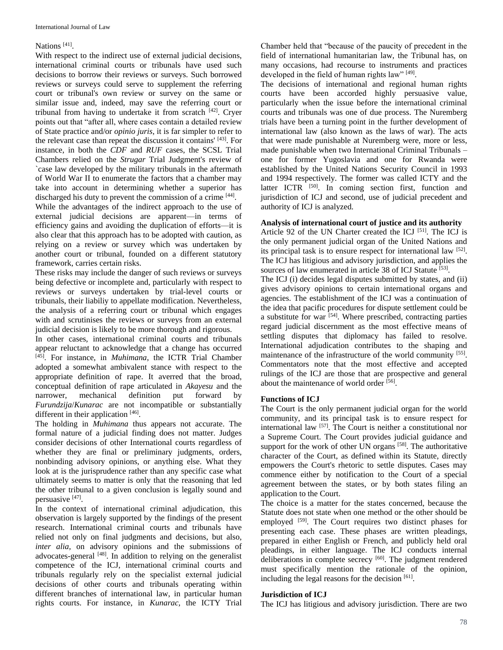#### Nations<sup>[41]</sup>.

With respect to the indirect use of external judicial decisions, international criminal courts or tribunals have used such decisions to borrow their reviews or surveys. Such borrowed reviews or surveys could serve to supplement the referring court or tribunal's own review or survey on the same or similar issue and, indeed, may save the referring court or tribunal from having to undertake it from scratch  $[42]$ . Cryer points out that "after all, where cases contain a detailed review of State practice and/or *opinio juris*, it is far simpler to refer to the relevant case than repeat the discussion it contains' [43]. For instance, in both the *CDF* and *RUF* cases, the SCSL Trial Chambers relied on the *Strugar* Trial Judgment's review of `case law developed by the military tribunals in the aftermath of World War II to enumerate the factors that a chamber may take into account in determining whether a superior has discharged his duty to prevent the commission of a crime [44].

While the advantages of the indirect approach to the use of external judicial decisions are apparent—in terms of efficiency gains and avoiding the duplication of efforts—it is also clear that this approach has to be adopted with caution, as relying on a review or survey which was undertaken by another court or tribunal, founded on a different statutory framework, carries certain risks.

These risks may include the danger of such reviews or surveys being defective or incomplete and, particularly with respect to reviews or surveys undertaken by trial-level courts or tribunals, their liabiliy to appellate modification. Nevertheless, the analysis of a referring court or tribunal which engages with and scrutinises the reviews or surveys from an external judicial decision is likely to be more thorough and rigorous.

In other cases, international criminal courts and tribunals appear reluctant to acknowledge that a change has occurred [45] . For instance, in *Muhimana*, the ICTR Trial Chamber adopted a somewhat ambivalent stance with respect to the appropriate definition of rape. It averred that the broad, conceptual definition of rape articulated in *Akayesu* and the narrower, mechanical definition put forward by *Furundzija*/*Kunarac* are not incompatible or substantially different in their application [46].

The holding in *Muhimana* thus appears not accurate. The formal nature of a judicial finding does not matter. Judges consider decisions of other International courts regardless of whether they are final or preliminary judgments, orders, nonbinding advisory opinions, or anything else. What they look at is the jurisprudence rather than any specific case what ultimately seems to matter is only that the reasoning that led the other tribunal to a given conclusion is legally sound and persuasive [47].

In the context of international criminal adjudication, this observation is largely supported by the findings of the present research. International criminal courts and tribunals have relied not only on final judgments and decisions, but also, *inter alia,* on advisory opinions and the submissions of advocates-general [48]. In addition to relying on the generalist competence of the ICJ, international criminal courts and tribunals regularly rely on the specialist external judicial decisions of other courts and tribunals operating within different branches of international law, in particular human rights courts. For instance, in *Kunarac,* the ICTY Trial

Chamber held that "because of the paucity of precedent in the field of international humanitarian law, the Tribunal has, on many occasions, had recourse to instruments and practices developed in the field of human rights law" [49].

The decisions of international and regional human rights courts have been accorded highly persuasive value, particularly when the issue before the international criminal courts and tribunals was one of due process. The Nuremberg trials have been a turning point in the further development of international law (also known as the laws of war). The acts that were made punishable at Nuremberg were, more or less, made punishable when two International Criminal Tribunals – one for former Yugoslavia and one for Rwanda were established by the United Nations Security Council in 1993 and 1994 respectively. The former was called ICTY and the latter ICTR <sup>[50]</sup>. In coming section first, function and jurisdiction of ICJ and second, use of judicial precedent and authority of ICJ is analyzed.

### **Analysis of international court of justice and its authority**

Article 92 of the UN Charter created the ICJ <sup>[51]</sup>. The ICJ is the only permanent judicial organ of the United Nations and its principal task is to ensure respect for international law [52]. The ICJ has litigious and advisory jurisdiction, and applies the sources of law enumerated in article 38 of ICJ Statute [53].

The ICJ (i) decides legal disputes submitted by states, and (ii) gives advisory opinions to certain international organs and agencies. The establishment of the ICJ was a continuation of the idea that pacific procedures for dispute settlement could be a substitute for war [54]. Where prescribed, contracting parties regard judicial discernment as the most effective means of settling disputes that diplomacy has failed to resolve. International adjudication contributes to the shaping and maintenance of the infrastructure of the world community [55]. Commentators note that the most effective and accepted rulings of the ICJ are those that are prospective and general about the maintenance of world order [56].

#### **Functions of ICJ**

The Court is the only permanent judicial organ for the world community, and its principal task is to ensure respect for international law [57] . The Court is neither a constitutional nor a Supreme Court. The Court provides judicial guidance and support for the work of other UN organs<sup>[58]</sup>. The authoritative character of the Court, as defined within its Statute, directly empowers the Court's rhetoric to settle disputes. Cases may commence either by notification to the Court of a special agreement between the states, or by both states filing an application to the Court.

The choice is a matter for the states concerned, because the Statute does not state when one method or the other should be employed <sup>[59]</sup>. The Court requires two distinct phases for presenting each case. These phases are written pleadings, prepared in either English or French, and publicly held oral pleadings, in either language. The ICJ conducts internal deliberations in complete secrecy<sup>[60]</sup>. The judgment rendered must specifically mention the rationale of the opinion, including the legal reasons for the decision  $[61]$ .

#### **Jurisdiction of ICJ**

The ICJ has litigious and advisory jurisdiction. There are two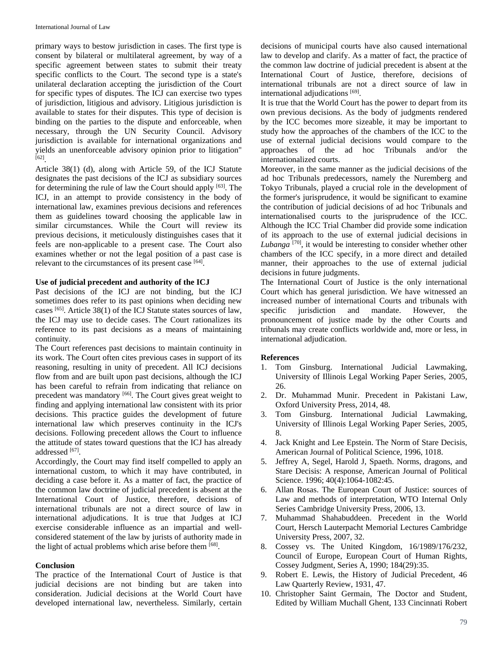primary ways to bestow jurisdiction in cases. The first type is consent by bilateral or multilateral agreement, by way of a specific agreement between states to submit their treaty specific conflicts to the Court. The second type is a state's unilateral declaration accepting the jurisdiction of the Court for specific types of disputes. The ICJ can exercise two types of jurisdiction, litigious and advisory. Litigious jurisdiction is available to states for their disputes. This type of decision is binding on the parties to the dispute and enforceable, when necessary, through the UN Security Council. Advisory jurisdiction is available for international organizations and yields an unenforceable advisory opinion prior to litigation" [62] .

Article 38(1) (d), along with Article 59, of the ICJ Statute designates the past decisions of the ICJ as subsidiary sources for determining the rule of law the Court should apply [63]. The ICJ, in an attempt to provide consistency in the body of international law, examines previous decisions and references them as guidelines toward choosing the applicable law in similar circumstances. While the Court will review its previous decisions, it meticulously distinguishes cases that it feels are non-applicable to a present case. The Court also examines whether or not the legal position of a past case is relevant to the circumstances of its present case [64].

#### **Use of judicial precedent and authority of the ICJ**

Past decisions of the ICJ are not binding, but the ICJ sometimes does refer to its past opinions when deciding new cases [65]. Article 38(1) of the ICJ Statute states sources of law, the ICJ may use to decide cases. The Court rationalizes its reference to its past decisions as a means of maintaining continuity.

The Court references past decisions to maintain continuity in its work. The Court often cites previous cases in support of its reasoning, resulting in unity of precedent. All ICJ decisions flow from and are built upon past decisions, although the ICJ has been careful to refrain from indicating that reliance on precedent was mandatory [66]. The Court gives great weight to finding and applying international law consistent with its prior decisions. This practice guides the development of future international law which preserves continuity in the ICJ's decisions. Following precedent allows the Court to influence the attitude of states toward questions that the ICJ has already addressed [67].

Accordingly, the Court may find itself compelled to apply an international custom, to which it may have contributed, in deciding a case before it. As a matter of fact, the practice of the common law doctrine of judicial precedent is absent at the International Court of Justice, therefore, decisions of international tribunals are not a direct source of law in international adjudications. It is true that Judges at ICJ exercise considerable influence as an impartial and wellconsidered statement of the law by jurists of authority made in the light of actual problems which arise before them [68].

#### **Conclusion**

The practice of the International Court of Justice is that judicial decisions are not binding but are taken into consideration. Judicial decisions at the World Court have developed international law, nevertheless. Similarly, certain

decisions of municipal courts have also caused international law to develop and clarify. As a matter of fact, the practice of the common law doctrine of judicial precedent is absent at the International Court of Justice, therefore, decisions of international tribunals are not a direct source of law in international adjudications [69].

It is true that the World Court has the power to depart from its own previous decisions. As the body of judgments rendered by the ICC becomes more sizeable, it may be important to study how the approaches of the chambers of the ICC to the use of external judicial decisions would compare to the approaches of the ad hoc Tribunals and/or the internationalized courts.

Moreover, in the same manner as the judicial decisions of the ad hoc Tribunals predecessors, namely the Nuremberg and Tokyo Tribunals, played a crucial role in the development of the former's jurisprudence, it would be significant to examine the contribution of judicial decisions of ad hoc Tribunals and internationalised courts to the jurisprudence of the ICC. Although the ICC Trial Chamber did provide some indication of its approach to the use of external judicial decisions in Lubanga<sup>[70]</sup>, it would be interesting to consider whether other chambers of the ICC specify, in a more direct and detailed manner, their approaches to the use of external judicial decisions in future judgments.

The International Court of Justice is the only international Court which has general jurisdiction. We have witnessed an increased number of international Courts and tribunals with specific jurisdiction and mandate. However, the pronouncement of justice made by the other Courts and tribunals may create conflicts worldwide and, more or less, in international adjudication.

## **References**

- 1. Tom Ginsburg. International Judicial Lawmaking, University of Illinois Legal Working Paper Series, 2005, 26.
- 2. Dr. Muhammad Munir. Precedent in Pakistani Law, Oxford University Press, 2014, 48.
- 3. Tom Ginsburg. International Judicial Lawmaking, University of Illinois Legal Working Paper Series, 2005, 8.
- 4. Jack Knight and Lee Epstein. The Norm of Stare Decisis, American Journal of Political Science, 1996, 1018.
- 5. Jeffrey A, Segel, Harold J, Spaeth. Norms, dragons, and Stare Decisis: A response, American Journal of Political Science. 1996; 40(4):1064-1082:45.
- 6. Allan Rosas. The European Court of Justice: sources of Law and methods of interpretation, WTO Internal Only Series Cambridge University Press, 2006, 13.
- 7. Muhammad Shahabuddeen. Precedent in the World Court, Hersch Lauterpacht Memorial Lectures Cambridge University Press, 2007, 32.
- 8. Cossey vs. The United Kingdom, 16/1989/176/232, Council of Europe, European Court of Human Rights, Cossey Judgment, Series A, 1990; 184(29):35.
- 9. Robert E. Lewis, the History of Judicial Precedent, 46 Law Quarterly Review, 1931, 47.
- 10. Christopher Saint Germain, The Doctor and Student, Edited by William Muchall Ghent, 133 Cincinnati Robert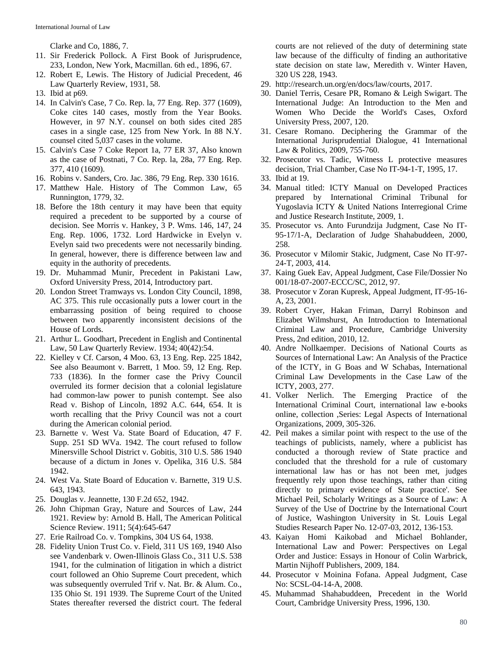Clarke and Co, 1886, 7.

- 11. Sir Frederick Pollock. A First Book of Jurisprudence, 233, London, New York, Macmillan. 6th ed., 1896, 67.
- 12. Robert E, Lewis. The History of Judicial Precedent, 46 Law Quarterly Review, 1931, 58.
- 13. Ibid at p69.
- 14. In Calvin's Case, 7 Co. Rep. la, 77 Eng. Rep. 377 (1609), Coke cites 140 cases, mostly from the Year Books. However, in 97 N.Y. counsel on both sides cited 285 cases in a single case, 125 from New York. In 88 N.Y. counsel cited 5,037 cases in the volume.
- 15. Calvin's Case 7 Coke Report 1a, 77 ER 37, Also known as the case of Postnati, 7 Co. Rep. la, 28a, 77 Eng. Rep. 377, 410 (1609).
- 16. Robins v. Sanders, Cro. Jac. 386, 79 Eng. Rep. 330 1616.
- 17. Matthew Hale. History of The Common Law, 65 Runnington, 1779, 32.
- 18. Before the 18th century it may have been that equity required a precedent to be supported by a course of decision. See Morris v. Hankey, 3 P. Wms. 146, 147, 24 Eng. Rep. 1006, 1732. Lord Hardwicke in Evelyn v. Evelyn said two precedents were not necessarily binding. In general, however, there is difference between law and equity in the authority of precedents.
- 19. Dr. Muhammad Munir, Precedent in Pakistani Law, Oxford University Press, 2014, Introductory part.
- 20. London Street Tramways vs. London City Council, 1898, AC 375. This rule occasionally puts a lower court in the embarrassing position of being required to choose between two apparently inconsistent decisions of the House of Lords.
- 21. Arthur L. Goodhart, Precedent in English and Continental Law, 50 Law Quarterly Review. 1934; 40(42):54.
- 22. Kielley v Cf. Carson, 4 Moo. 63, 13 Eng. Rep. 225 1842, See also Beaumont v. Barrett, 1 Moo. 59, 12 Eng. Rep. 733 (1836). In the former case the Privy Council overruled its former decision that a colonial legislature had common-law power to punish contempt. See also Read v. Bishop of Lincoln, 1892 A.C. 644, 654. It is worth recalling that the Privy Council was not a court during the American colonial period.
- 23. Barnette v. West Va. State Board of Education, 47 F. Supp. 251 SD WVa. 1942. The court refused to follow Minersville School District v. Gobitis, 310 U.S. 586 1940 because of a dictum in Jones v. Opelika, 316 U.S. 584 1942.
- 24. West Va. State Board of Education v. Barnette, 319 U.S. 643, 1943.
- 25. Douglas v. Jeannette, 130 F.2d 652, 1942.
- 26. John Chipman Gray, Nature and Sources of Law, 244 1921. Review by: Arnold B. Hall, The American Political Science Review. 1911; 5(4):645-647
- 27. Erie Railroad Co. v. Tompkins, 304 US 64, 1938.
- 28. Fidelity Union Trust Co. v. Field, 311 US 169, 1940 Also see Vandenbark v. Owen-Illinois Glass Co., 311 U.S. 538 1941, for the culmination of litigation in which a district court followed an Ohio Supreme Court precedent, which was subsequently overruled Trif v. Nat. Br. & Alum. Co., 135 Ohio St. 191 1939. The Supreme Court of the United States thereafter reversed the district court. The federal

courts are not relieved of the duty of determining state law because of the difficulty of finding an authoritative state decision on state law, Meredith v. Winter Haven, 320 US 228, 1943.

- 29. http://research.un.org/en/docs/law/courts, 2017.
- 30. Daniel Terris, Cesare PR, Romano & Leigh Swigart. The International Judge: An Introduction to the Men and Women Who Decide the World's Cases, Oxford University Press, 2007, 120.
- 31. Cesare Romano. Deciphering the Grammar of the International Jurisprudential Dialogue, 41 International Law & Politics, 2009, 755-760.
- 32. Prosecutor vs. Tadic, Witness L protective measures decision, Trial Chamber, Case No IT-94-1-T, 1995, 17.
- 33. Ibid at 19.
- 34. Manual titled: ICTY Manual on Developed Practices prepared by International Criminal Tribunal for Yugoslavia ICTY & United Nations Interregional Crime and Justice Research Institute, 2009, 1.
- 35. Prosecutor vs. Anto Furundzija Judgment, Case No IT-95-17/1-A, Declaration of Judge Shahabuddeen, 2000, 258.
- 36. Prosecutor v Milomir Stakic, Judgment, Case No IT-97- 24-T, 2003, 414.
- 37. Kaing Guek Eav, Appeal Judgment, Case File/Dossier No 001/18-07-2007-ECCC/SC, 2012, 97.
- 38. Prosecutor v Zoran Kupresk, Appeal Judgment, IT-95-16- A, 23, 2001.
- 39. Robert Cryer, Hakan Friman, Darryl Robinson and Elizabet Wilmshurst, An Introduction to International Criminal Law and Procedure, Cambridge University Press, 2nd edition, 2010, 12.
- 40. Andre Nollkaemper. Decisions of National Courts as Sources of International Law: An Analysis of the Practice of the ICTY, in G Boas and W Schabas, International Criminal Law Developments in the Case Law of the ICTY, 2003, 277.
- 41. Volker Nerlich. The Emerging Practice of the International Criminal Court, international law e-books online, collection ,Series: Legal Aspects of International Organizations, 2009, 305-326.
- 42. Peil makes a similar point with respect to the use of the teachings of publicists, namely, where a publicist has conducted a thorough review of State practice and concluded that the threshold for a rule of customary international law has or has not been met, judges frequently rely upon those teachings, rather than citing directly to primary evidence of State practice'. See Michael Peil, Scholarly Writings as a Source of Law: A Survey of the Use of Doctrine by the International Court of Justice, Washington University in St. Louis Legal Studies Research Paper No. 12-07-03, 2012, 136-153.
- 43. Kaiyan Homi Kaikobad and Michael Bohlander, International Law and Power: Perspectives on Legal Order and Justice: Essays in Honour of Colin Warbrick, Martin Nijhoff Publishers, 2009, 184.
- 44. Prosecutor v Moinina Fofana. Appeal Judgment, Case No: SCSL-04-14-A, 2008.
- 45. Muhammad Shahabuddeen, Precedent in the World Court, Cambridge University Press, 1996, 130.